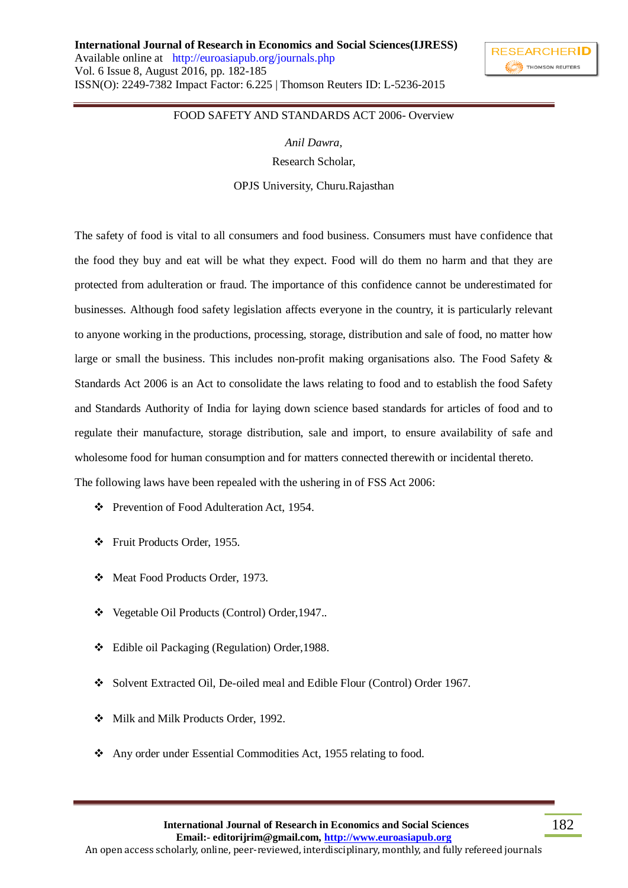

182

## FOOD SAFETY AND STANDARDS ACT 2006- Overview

*Anil Dawra,* Research Scholar,

OPJS University, Churu.Rajasthan

The safety of food is vital to all consumers and food business. Consumers must have confidence that the food they buy and eat will be what they expect. Food will do them no harm and that they are protected from adulteration or fraud. The importance of this confidence cannot be underestimated for businesses. Although food safety legislation affects everyone in the country, it is particularly relevant to anyone working in the productions, processing, storage, distribution and sale of food, no matter how large or small the business. This includes non-profit making organisations also. The Food Safety & Standards Act 2006 is an Act to consolidate the laws relating to food and to establish the food Safety and Standards Authority of India for laying down science based standards for articles of food and to regulate their manufacture, storage distribution, sale and import, to ensure availability of safe and wholesome food for human consumption and for matters connected therewith or incidental thereto. The following laws have been repealed with the ushering in of FSS Act 2006:

- Prevention of Food Adulteration Act, 1954.
- Fruit Products Order, 1955.
- Meat Food Products Order, 1973.
- Vegetable Oil Products (Control) Order,1947..
- Edible oil Packaging (Regulation) Order,1988.
- Solvent Extracted Oil, De-oiled meal and Edible Flour (Control) Order 1967.
- Milk and Milk Products Order, 1992.
- Any order under Essential Commodities Act, 1955 relating to food.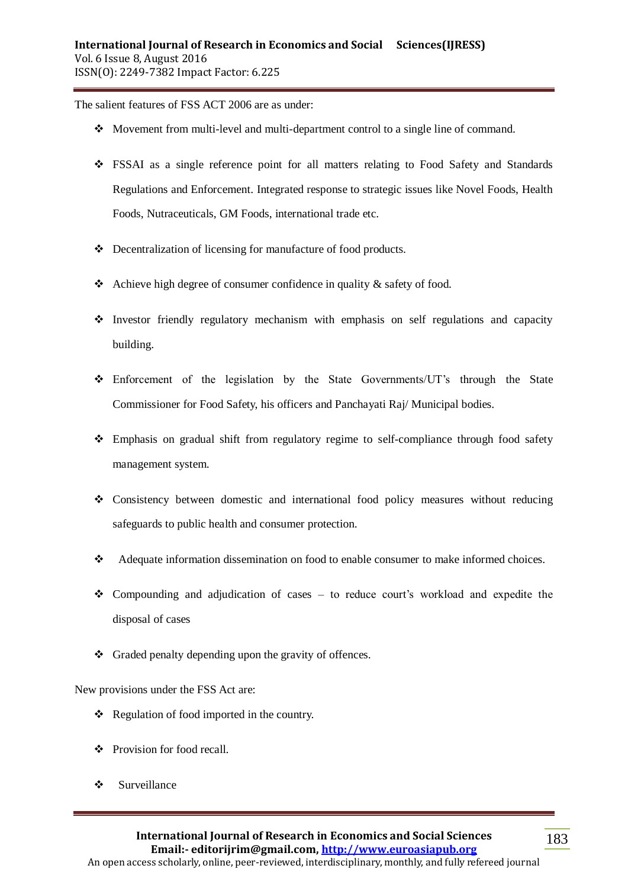The salient features of FSS ACT 2006 are as under:

- Movement from multi-level and multi-department control to a single line of command.
- FSSAI as a single reference point for all matters relating to Food Safety and Standards Regulations and Enforcement. Integrated response to strategic issues like Novel Foods, Health Foods, Nutraceuticals, GM Foods, international trade etc.
- Decentralization of licensing for manufacture of food products.
- Achieve high degree of consumer confidence in quality  $\&$  safety of food.
- $\cdot$  Investor friendly regulatory mechanism with emphasis on self regulations and capacity building.
- Enforcement of the legislation by the State Governments/UT's through the State Commissioner for Food Safety, his officers and Panchayati Raj/ Municipal bodies.
- Emphasis on gradual shift from regulatory regime to self-compliance through food safety management system.
- Consistency between domestic and international food policy measures without reducing safeguards to public health and consumer protection.
- Adequate information dissemination on food to enable consumer to make informed choices.
- Compounding and adjudication of cases to reduce court's workload and expedite the disposal of cases
- Graded penalty depending upon the gravity of offences.

New provisions under the FSS Act are:

- $\triangle$  Regulation of food imported in the country.
- Provision for food recall.
- Surveillance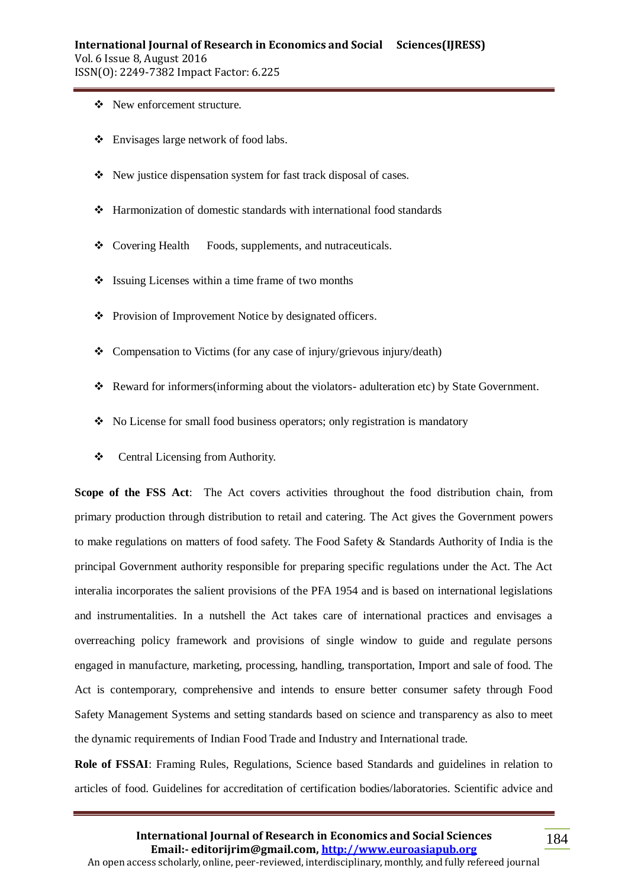- New enforcement structure.
- Envisages large network of food labs.
- New justice dispensation system for fast track disposal of cases.
- Harmonization of domestic standards with international food standards
- Covering Health Foods, supplements, and nutraceuticals.
- Start Issuing Licenses within a time frame of two months
- Provision of Improvement Notice by designated officers.
- $\triangleleft$  Compensation to Victims (for any case of injury/grievous injury/death)
- Reward for informers(informing about the violators- adulteration etc) by State Government.
- $\bullet$  No License for small food business operators; only registration is mandatory
- Central Licensing from Authority.

**Scope of the FSS Act**: The Act covers activities throughout the food distribution chain, from primary production through distribution to retail and catering. The Act gives the Government powers to make regulations on matters of food safety. The Food Safety & Standards Authority of India is the principal Government authority responsible for preparing specific regulations under the Act. The Act interalia incorporates the salient provisions of the PFA 1954 and is based on international legislations and instrumentalities. In a nutshell the Act takes care of international practices and envisages a overreaching policy framework and provisions of single window to guide and regulate persons engaged in manufacture, marketing, processing, handling, transportation, Import and sale of food. The Act is contemporary, comprehensive and intends to ensure better consumer safety through Food Safety Management Systems and setting standards based on science and transparency as also to meet the dynamic requirements of Indian Food Trade and Industry and International trade.

**Role of FSSAI**: Framing Rules, Regulations, Science based Standards and guidelines in relation to articles of food. Guidelines for accreditation of certification bodies/laboratories. Scientific advice and